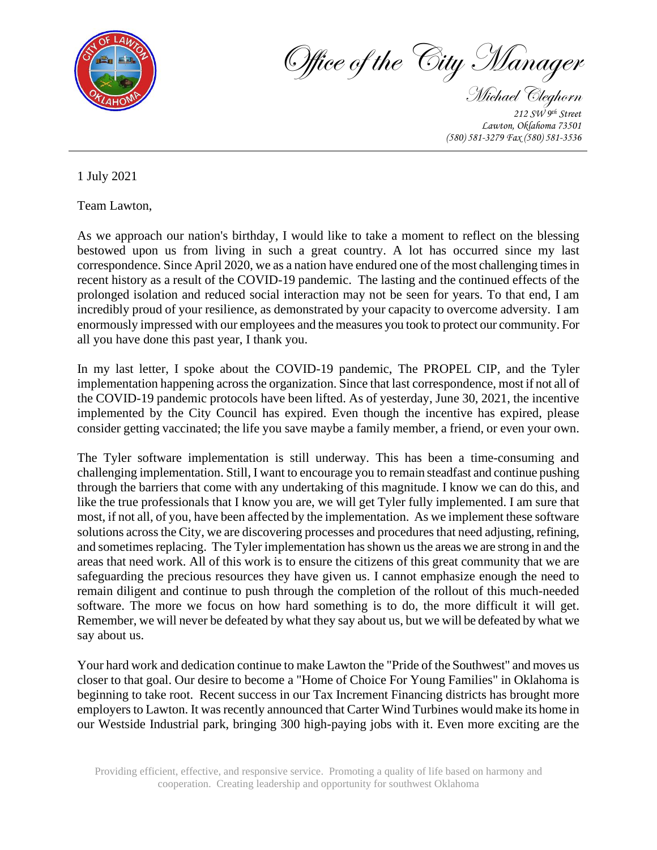

Office of the City Manager

Michael Cleghorn *212 SW 9th Street Lawton, Oklahoma 73501 (580) 581-3279 Fax (580) 581-3536* 

1 July 2021

Team Lawton,

As we approach our nation's birthday, I would like to take a moment to reflect on the blessing bestowed upon us from living in such a great country. A lot has occurred since my last correspondence. Since April 2020, we as a nation have endured one of the most challenging times in recent history as a result of the COVID-19 pandemic. The lasting and the continued effects of the prolonged isolation and reduced social interaction may not be seen for years. To that end, I am incredibly proud of your resilience, as demonstrated by your capacity to overcome adversity. I am enormously impressed with our employees and the measures you took to protect our community. For all you have done this past year, I thank you.

In my last letter, I spoke about the COVID-19 pandemic, The PROPEL CIP, and the Tyler implementation happening across the organization. Since that last correspondence, most if not all of the COVID-19 pandemic protocols have been lifted. As of yesterday, June 30, 2021, the incentive implemented by the City Council has expired. Even though the incentive has expired, please consider getting vaccinated; the life you save maybe a family member, a friend, or even your own.

The Tyler software implementation is still underway. This has been a time-consuming and challenging implementation. Still, I want to encourage you to remain steadfast and continue pushing through the barriers that come with any undertaking of this magnitude. I know we can do this, and like the true professionals that I know you are, we will get Tyler fully implemented. I am sure that most, if not all, of you, have been affected by the implementation. As we implement these software solutions across the City, we are discovering processes and procedures that need adjusting, refining, and sometimes replacing. The Tyler implementation has shown us the areas we are strong in and the areas that need work. All of this work is to ensure the citizens of this great community that we are safeguarding the precious resources they have given us. I cannot emphasize enough the need to remain diligent and continue to push through the completion of the rollout of this much-needed software. The more we focus on how hard something is to do, the more difficult it will get. Remember, we will never be defeated by what they say about us, but we will be defeated by what we say about us.

Your hard work and dedication continue to make Lawton the "Pride of the Southwest" and moves us closer to that goal. Our desire to become a "Home of Choice For Young Families" in Oklahoma is beginning to take root. Recent success in our Tax Increment Financing districts has brought more employers to Lawton. It was recently announced that Carter Wind Turbines would make its home in our Westside Industrial park, bringing 300 high-paying jobs with it. Even more exciting are the